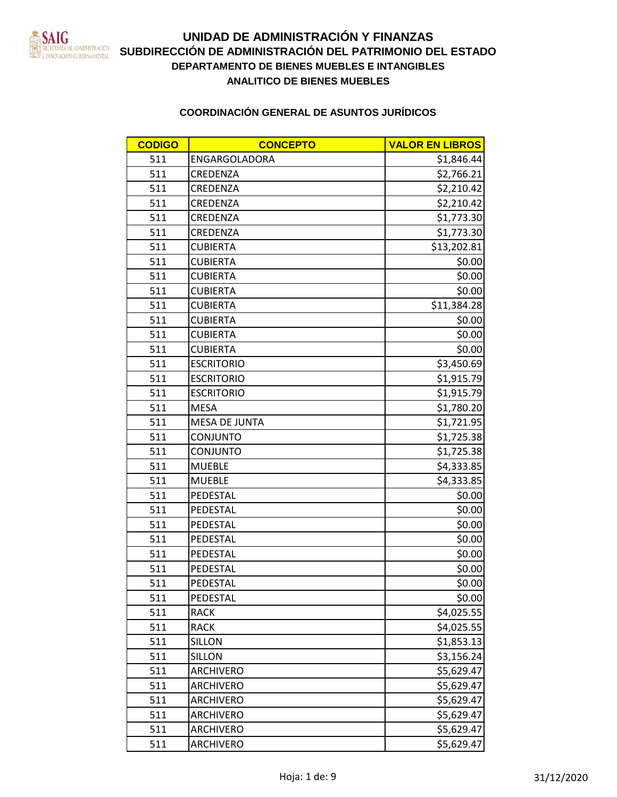

| <b>CODIGO</b> | <b>CONCEPTO</b>   | <b>VALOR EN LIBROS</b> |
|---------------|-------------------|------------------------|
| 511           | ENGARGOLADORA     | \$1,846.44             |
| 511           | CREDENZA          | \$2,766.21             |
| 511           | CREDENZA          | \$2,210.42             |
| 511           | CREDENZA          | \$2,210.42             |
| 511           | CREDENZA          | \$1,773.30             |
| 511           | CREDENZA          | \$1,773.30             |
| 511           | <b>CUBIERTA</b>   | \$13,202.81            |
| 511           | <b>CUBIERTA</b>   | \$0.00                 |
| 511           | <b>CUBIERTA</b>   | \$0.00                 |
| 511           | <b>CUBIERTA</b>   | \$0.00                 |
| 511           | <b>CUBIERTA</b>   | \$11,384.28            |
| 511           | <b>CUBIERTA</b>   | \$0.00                 |
| 511           | <b>CUBIERTA</b>   | \$0.00                 |
| 511           | <b>CUBIERTA</b>   | \$0.00                 |
| 511           | <b>ESCRITORIO</b> | \$3,450.69             |
| 511           | <b>ESCRITORIO</b> | \$1,915.79             |
| 511           | <b>ESCRITORIO</b> | \$1,915.79             |
| 511           | <b>MESA</b>       | \$1,780.20             |
| 511           | MESA DE JUNTA     | \$1,721.95             |
| 511           | <b>CONJUNTO</b>   | \$1,725.38             |
| 511           | <b>CONJUNTO</b>   | \$1,725.38             |
| 511           | <b>MUEBLE</b>     | \$4,333.85             |
| 511           | <b>MUEBLE</b>     | \$4,333.85             |
| 511           | PEDESTAL          | \$0.00                 |
| 511           | PEDESTAL          | \$0.00                 |
| 511           | PEDESTAL          | \$0.00                 |
| 511           | PEDESTAL          | \$0.00                 |
| 511           | PEDESTAL          | \$0.00                 |
| 511           | PEDESTAL          | \$0.00                 |
| 511           | PEDESTAL          | \$0.00                 |
| 511           | PEDESTAL          | \$0.00                 |
| 511           | <b>RACK</b>       | \$4,025.55             |
| 511           | <b>RACK</b>       | \$4,025.55             |
| 511           | <b>SILLON</b>     | \$1,853.13             |
| 511           | <b>SILLON</b>     | \$3,156.24             |
| 511           | <b>ARCHIVERO</b>  | \$5,629.47             |
| 511           | <b>ARCHIVERO</b>  | \$5,629.47             |
| 511           | <b>ARCHIVERO</b>  | \$5,629.47             |
| 511           | <b>ARCHIVERO</b>  | \$5,629.47             |
| 511           | <b>ARCHIVERO</b>  | \$5,629.47             |
| 511           | <b>ARCHIVERO</b>  | \$5,629.47             |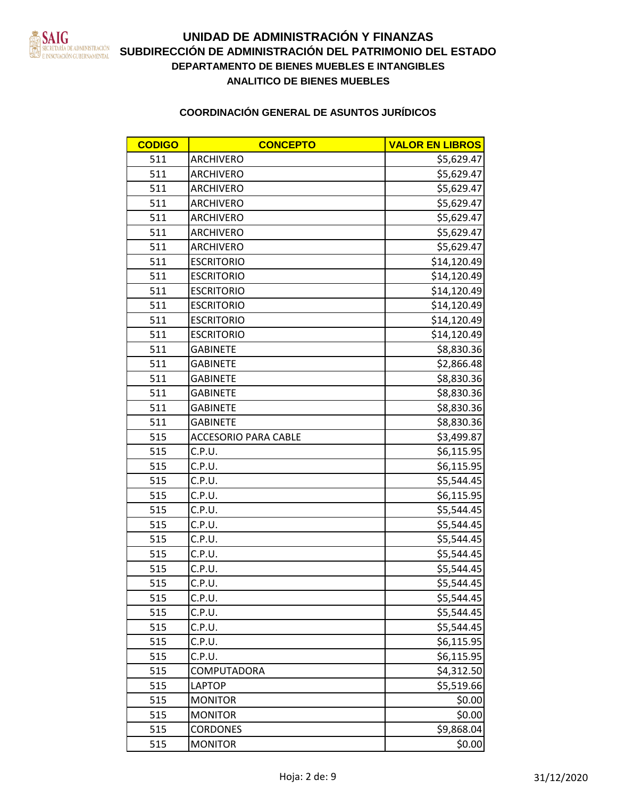

| <b>CODIGO</b> | <b>CONCEPTO</b>             | <b>VALOR EN LIBROS</b> |
|---------------|-----------------------------|------------------------|
| 511           | ARCHIVERO                   | \$5,629.47             |
| 511           | <b>ARCHIVERO</b>            | \$5,629.47             |
| 511           | <b>ARCHIVERO</b>            | \$5,629.47             |
| 511           | <b>ARCHIVERO</b>            | \$5,629.47             |
| 511           | ARCHIVERO                   | \$5,629.47             |
| 511           | ARCHIVERO                   | \$5,629.47             |
| 511           | <b>ARCHIVERO</b>            | \$5,629.47             |
| 511           | <b>ESCRITORIO</b>           | \$14,120.49            |
| 511           | <b>ESCRITORIO</b>           | \$14,120.49            |
| 511           | <b>ESCRITORIO</b>           | \$14,120.49            |
| 511           | <b>ESCRITORIO</b>           | \$14,120.49            |
| 511           | <b>ESCRITORIO</b>           | \$14,120.49            |
| 511           | <b>ESCRITORIO</b>           | \$14,120.49            |
| 511           | <b>GABINETE</b>             | \$8,830.36             |
| 511           | <b>GABINETE</b>             | \$2,866.48             |
| 511           | <b>GABINETE</b>             | \$8,830.36             |
| 511           | <b>GABINETE</b>             | \$8,830.36             |
| 511           | <b>GABINETE</b>             | \$8,830.36             |
| 511           | <b>GABINETE</b>             | \$8,830.36             |
| 515           | <b>ACCESORIO PARA CABLE</b> | \$3,499.87             |
| 515           | C.P.U.                      | \$6,115.95             |
| 515           | C.P.U.                      | \$6,115.95             |
| 515           | C.P.U.                      | \$5,544.45             |
| 515           | C.P.U.                      | \$6,115.95             |
| 515           | C.P.U.                      | \$5,544.45             |
| 515           | C.P.U.                      | \$5,544.45             |
| 515           | C.P.U.                      | \$5,544.45             |
| 515           | C.P.U.                      | \$5,544.45             |
| 515           | C.P.U.                      | \$5,544.45             |
| 515           | C.P.U.                      | \$5,544.45             |
| 515           | C.P.U.                      | \$5,544.45             |
| 515           | C.P.U.                      | \$5,544.45             |
| 515           | C.P.U.                      | \$5,544.45             |
| 515           | C.P.U.                      | \$6,115.95             |
| 515           | C.P.U.                      | \$6,115.95             |
| 515           | <b>COMPUTADORA</b>          | \$4,312.50             |
| 515           | <b>LAPTOP</b>               | \$5,519.66             |
| 515           | <b>MONITOR</b>              | \$0.00                 |
| 515           | <b>MONITOR</b>              | \$0.00                 |
| 515           | <b>CORDONES</b>             | \$9,868.04             |
| 515           | <b>MONITOR</b>              | \$0.00                 |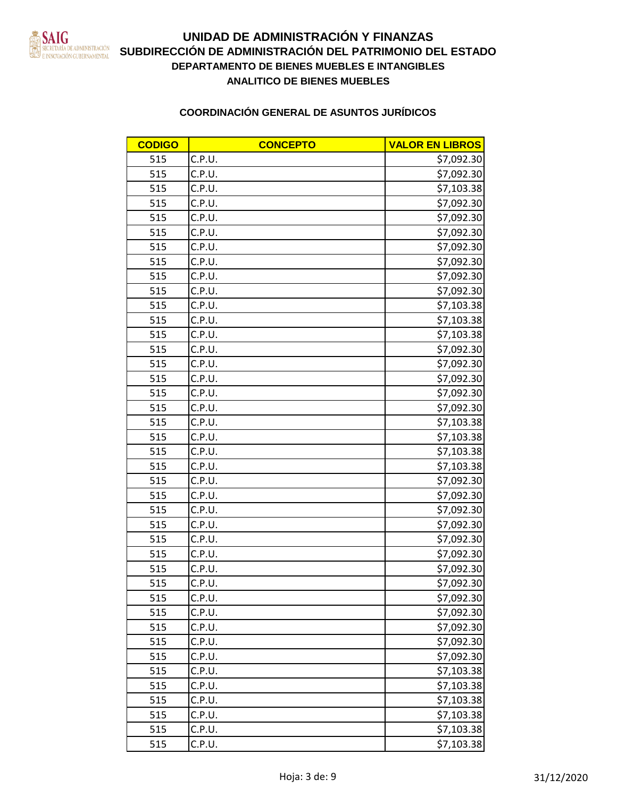

| <b>CODIGO</b> | <b>CONCEPTO</b> | <b>VALOR EN LIBROS</b> |
|---------------|-----------------|------------------------|
| 515           | C.P.U.          | \$7,092.30             |
| 515           | C.P.U.          | \$7,092.30             |
| 515           | C.P.U.          | \$7,103.38             |
| 515           | C.P.U.          | \$7,092.30             |
| 515           | C.P.U.          | \$7,092.30             |
| 515           | C.P.U.          | \$7,092.30             |
| 515           | C.P.U.          | \$7,092.30             |
| 515           | C.P.U.          | \$7,092.30             |
| 515           | C.P.U.          | \$7,092.30             |
| 515           | C.P.U.          | \$7,092.30             |
| 515           | C.P.U.          | \$7,103.38             |
| 515           | C.P.U.          | \$7,103.38             |
| 515           | C.P.U.          | \$7,103.38             |
| 515           | C.P.U.          | \$7,092.30             |
| 515           | C.P.U.          | \$7,092.30             |
| 515           | C.P.U.          | \$7,092.30             |
| 515           | C.P.U.          | \$7,092.30             |
| 515           | C.P.U.          | \$7,092.30             |
| 515           | C.P.U.          | \$7,103.38             |
| 515           | C.P.U.          | \$7,103.38             |
| 515           | C.P.U.          | \$7,103.38             |
| 515           | C.P.U.          | \$7,103.38             |
| 515           | C.P.U.          | \$7,092.30             |
| 515           | C.P.U.          | \$7,092.30             |
| 515           | C.P.U.          | \$7,092.30             |
| 515           | C.P.U.          | \$7,092.30             |
| 515           | C.P.U.          | \$7,092.30             |
| 515           | C.P.U.          | \$7,092.30             |
| 515           | C.P.U.          | \$7,092.30             |
| 515           | C.P.U.          | \$7,092.30             |
| 515           | C.P.U.          | \$7,092.30             |
| 515           | C.P.U.          | \$7,092.30             |
| 515           | C.P.U.          | \$7,092.30             |
| 515           | C.P.U.          | \$7,092.30             |
| 515           | C.P.U.          | \$7,092.30             |
| 515           | C.P.U.          | \$7,103.38             |
| 515           | C.P.U.          | \$7,103.38             |
| 515           | C.P.U.          | \$7,103.38             |
| 515           | C.P.U.          | \$7,103.38             |
| 515           | C.P.U.          | \$7,103.38             |
| 515           | C.P.U.          | \$7,103.38             |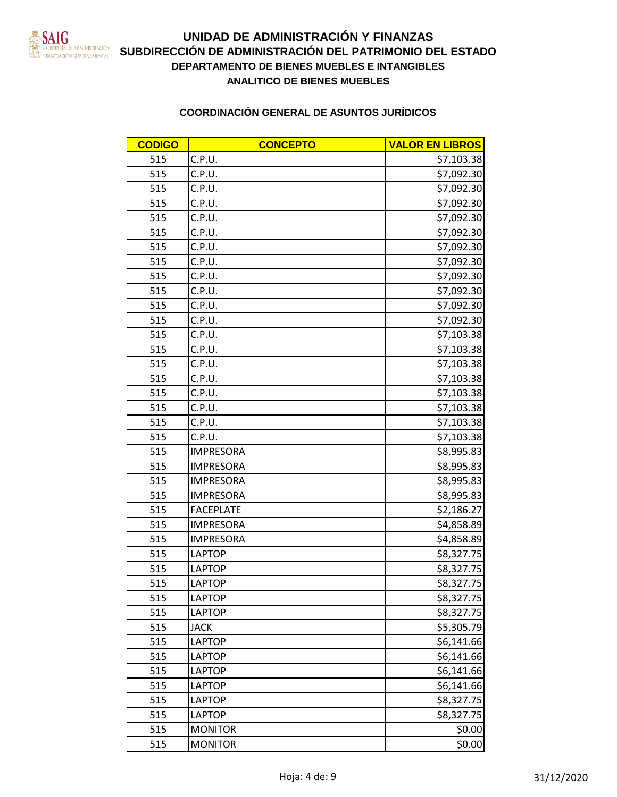

| <b>CODIGO</b> | <b>CONCEPTO</b>  | <b>VALOR EN LIBROS</b> |
|---------------|------------------|------------------------|
| 515           | C.P.U.           | \$7,103.38             |
| 515           | C.P.U.           | \$7,092.30             |
| 515           | C.P.U.           | \$7,092.30             |
| 515           | C.P.U.           | \$7,092.30             |
| 515           | C.P.U.           | \$7,092.30             |
| 515           | C.P.U.           | \$7,092.30             |
| 515           | C.P.U.           | \$7,092.30             |
| 515           | C.P.U.           | \$7,092.30             |
| 515           | C.P.U.           | \$7,092.30             |
| 515           | C.P.U.           | \$7,092.30             |
| 515           | C.P.U.           | \$7,092.30             |
| 515           | C.P.U.           | \$7,092.30             |
| 515           | C.P.U.           | \$7,103.38             |
| 515           | C.P.U.           | \$7,103.38             |
| 515           | C.P.U.           | \$7,103.38             |
| 515           | C.P.U.           | \$7,103.38             |
| 515           | C.P.U.           | \$7,103.38             |
| 515           | C.P.U.           | \$7,103.38             |
| 515           | C.P.U.           | \$7,103.38             |
| 515           | C.P.U.           | \$7,103.38             |
| 515           | <b>IMPRESORA</b> | \$8,995.83             |
| 515           | <b>IMPRESORA</b> | \$8,995.83             |
| 515           | <b>IMPRESORA</b> | \$8,995.83             |
| 515           | <b>IMPRESORA</b> | \$8,995.83             |
| 515           | <b>FACEPLATE</b> | \$2,186.27             |
| 515           | <b>IMPRESORA</b> | \$4,858.89             |
| 515           | <b>IMPRESORA</b> | \$4,858.89             |
| 515           | <b>LAPTOP</b>    | \$8,327.75             |
| 515           | <b>LAPTOP</b>    | \$8,327.75             |
| 515           | <b>LAPTOP</b>    | \$8,327.75             |
| 515           | <b>LAPTOP</b>    | \$8,327.75             |
| 515           | <b>LAPTOP</b>    | \$8,327.75             |
| 515           | <b>JACK</b>      | \$5,305.79             |
| 515           | <b>LAPTOP</b>    | \$6,141.66             |
| 515           | <b>LAPTOP</b>    | \$6,141.66             |
| 515           | <b>LAPTOP</b>    | \$6,141.66             |
| 515           | <b>LAPTOP</b>    | \$6,141.66             |
| 515           | <b>LAPTOP</b>    | \$8,327.75             |
| 515           | <b>LAPTOP</b>    | \$8,327.75             |
| 515           | <b>MONITOR</b>   | \$0.00                 |
| 515           | <b>MONITOR</b>   | \$0.00                 |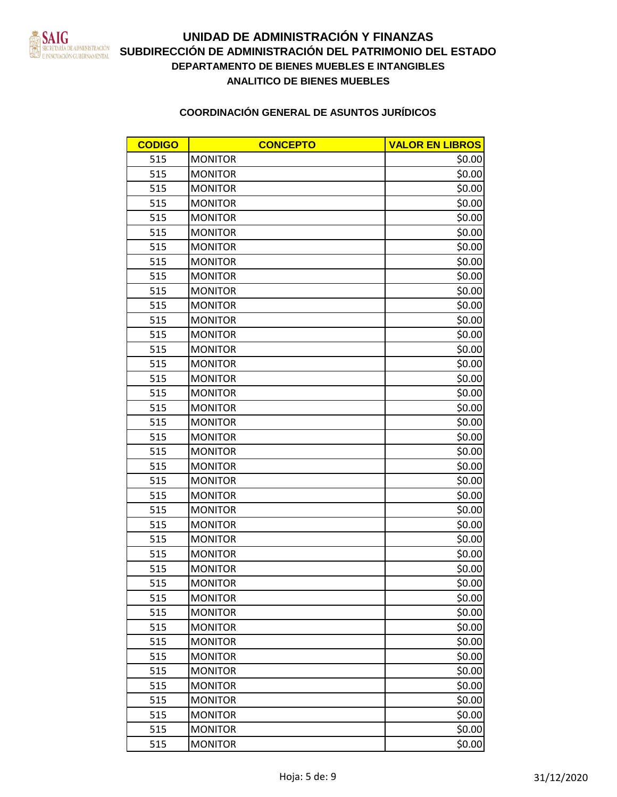

| <b>CODIGO</b> | <b>CONCEPTO</b> | <b>VALOR EN LIBROS</b> |
|---------------|-----------------|------------------------|
| 515           | <b>MONITOR</b>  | \$0.00                 |
| 515           | <b>MONITOR</b>  | \$0.00                 |
| 515           | <b>MONITOR</b>  | \$0.00                 |
| 515           | <b>MONITOR</b>  | \$0.00                 |
| 515           | <b>MONITOR</b>  | \$0.00                 |
| 515           | <b>MONITOR</b>  | \$0.00                 |
| 515           | <b>MONITOR</b>  | \$0.00                 |
| 515           | <b>MONITOR</b>  | \$0.00                 |
| 515           | <b>MONITOR</b>  | \$0.00                 |
| 515           | <b>MONITOR</b>  | \$0.00                 |
| 515           | <b>MONITOR</b>  | \$0.00                 |
| 515           | <b>MONITOR</b>  | \$0.00                 |
| 515           | <b>MONITOR</b>  | \$0.00                 |
| 515           | <b>MONITOR</b>  | \$0.00                 |
| 515           | <b>MONITOR</b>  | \$0.00                 |
| 515           | <b>MONITOR</b>  | \$0.00                 |
| 515           | <b>MONITOR</b>  | \$0.00                 |
| 515           | <b>MONITOR</b>  | \$0.00                 |
| 515           | <b>MONITOR</b>  | \$0.00                 |
| 515           | <b>MONITOR</b>  | \$0.00                 |
| 515           | <b>MONITOR</b>  | \$0.00                 |
| 515           | <b>MONITOR</b>  | \$0.00                 |
| 515           | <b>MONITOR</b>  | \$0.00                 |
| 515           | <b>MONITOR</b>  | \$0.00                 |
| 515           | <b>MONITOR</b>  | \$0.00                 |
| 515           | <b>MONITOR</b>  | \$0.00                 |
| 515           | <b>MONITOR</b>  | \$0.00                 |
| 515           | <b>MONITOR</b>  | \$0.00                 |
| 515           | <b>MONITOR</b>  | \$0.00                 |
| 515           | <b>MONITOR</b>  | \$0.00                 |
| 515           | <b>MONITOR</b>  | \$0.00                 |
| 515           | <b>MONITOR</b>  | \$0.00                 |
| 515           | <b>MONITOR</b>  | \$0.00                 |
| 515           | <b>MONITOR</b>  | \$0.00                 |
| 515           | <b>MONITOR</b>  | \$0.00                 |
| 515           | <b>MONITOR</b>  | \$0.00                 |
| 515           | <b>MONITOR</b>  | \$0.00                 |
| 515           | <b>MONITOR</b>  | \$0.00                 |
| 515           | <b>MONITOR</b>  | \$0.00                 |
| 515           | <b>MONITOR</b>  | \$0.00                 |
| 515           | <b>MONITOR</b>  | \$0.00                 |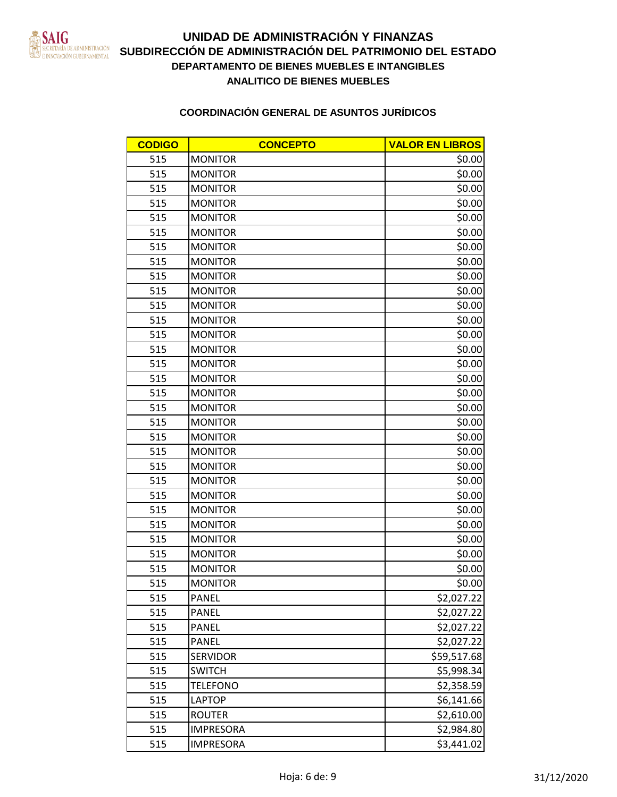

# **DEPARTAMENTO DE BIENES MUEBLES E INTANGIBLES SUBDIRECCIÓN DE ADMINISTRACIÓN DEL PATRIMONIO DEL ESTADO ANALITICO DE BIENES MUEBLES UNIDAD DE ADMINISTRACIÓN Y FINANZAS**

| <b>CODIGO</b> | <b>CONCEPTO</b>  | <b>VALOR EN LIBROS</b> |
|---------------|------------------|------------------------|
| 515           | <b>MONITOR</b>   | \$0.00                 |
| 515           | <b>MONITOR</b>   | \$0.00                 |
| 515           | <b>MONITOR</b>   | \$0.00                 |
| 515           | <b>MONITOR</b>   | \$0.00                 |
| 515           | <b>MONITOR</b>   | \$0.00                 |
| 515           | <b>MONITOR</b>   | \$0.00                 |
| 515           | <b>MONITOR</b>   | \$0.00                 |
| 515           | <b>MONITOR</b>   | \$0.00                 |
| 515           | <b>MONITOR</b>   | \$0.00                 |
| 515           | <b>MONITOR</b>   | \$0.00                 |
| 515           | <b>MONITOR</b>   | \$0.00                 |
| 515           | <b>MONITOR</b>   | \$0.00                 |
| 515           | <b>MONITOR</b>   | \$0.00                 |
| 515           | <b>MONITOR</b>   | \$0.00                 |
| 515           | <b>MONITOR</b>   | \$0.00                 |
| 515           | <b>MONITOR</b>   | \$0.00                 |
| 515           | <b>MONITOR</b>   | \$0.00                 |
| 515           | <b>MONITOR</b>   | \$0.00                 |
| 515           | <b>MONITOR</b>   | \$0.00                 |
| 515           | <b>MONITOR</b>   | \$0.00                 |
| 515           | <b>MONITOR</b>   | \$0.00                 |
| 515           | <b>MONITOR</b>   | \$0.00                 |
| 515           | <b>MONITOR</b>   | \$0.00                 |
| 515           | <b>MONITOR</b>   | \$0.00                 |
| 515           | <b>MONITOR</b>   | \$0.00                 |
| 515           | <b>MONITOR</b>   | \$0.00                 |
| 515           | <b>MONITOR</b>   | \$0.00                 |
| 515           | <b>MONITOR</b>   | \$0.00                 |
| 515           | <b>MONITOR</b>   | \$0.00                 |
| 515           | <b>MONITOR</b>   | \$0.00                 |
| 515           | <b>PANEL</b>     | \$2,027.22             |
| 515           | <b>PANEL</b>     | \$2,027.22             |
| 515           | <b>PANEL</b>     | \$2,027.22             |
| 515           | PANEL            | \$2,027.22             |
| 515           | <b>SERVIDOR</b>  | \$59,517.68            |
| 515           | <b>SWITCH</b>    | \$5,998.34             |
| 515           | <b>TELEFONO</b>  | \$2,358.59             |
| 515           | <b>LAPTOP</b>    | \$6,141.66             |
| 515           | <b>ROUTER</b>    | \$2,610.00             |
| 515           | <b>IMPRESORA</b> | \$2,984.80             |
| 515           | <b>IMPRESORA</b> | \$3,441.02             |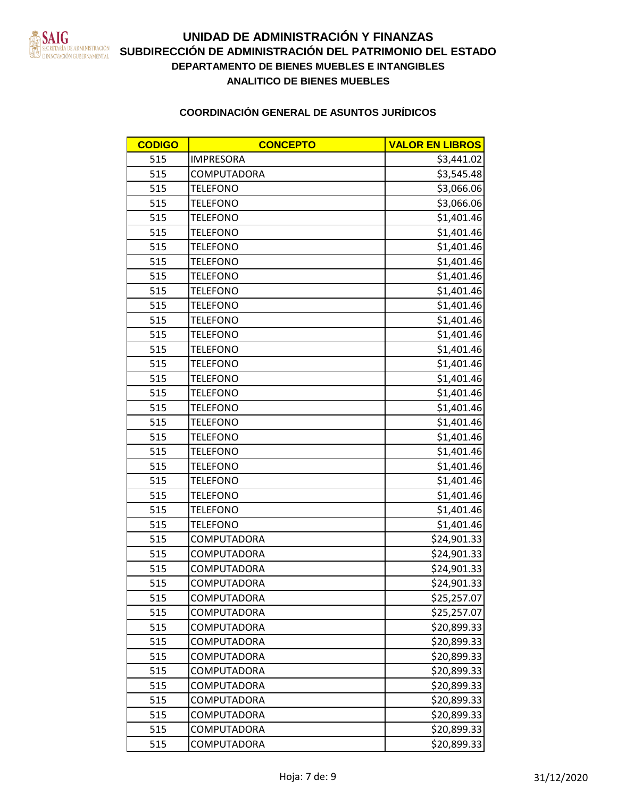

| <b>CODIGO</b> | <b>CONCEPTO</b>  | <b>VALOR EN LIBROS</b> |
|---------------|------------------|------------------------|
| 515           | <b>IMPRESORA</b> | \$3,441.02             |
| 515           | COMPUTADORA      | \$3,545.48             |
| 515           | <b>TELEFONO</b>  | \$3,066.06             |
| 515           | <b>TELEFONO</b>  | \$3,066.06             |
| 515           | <b>TELEFONO</b>  | \$1,401.46             |
| 515           | <b>TELEFONO</b>  | \$1,401.46             |
| 515           | <b>TELEFONO</b>  | \$1,401.46             |
| 515           | <b>TELEFONO</b>  | \$1,401.46             |
| 515           | <b>TELEFONO</b>  | \$1,401.46             |
| 515           | <b>TELEFONO</b>  | \$1,401.46             |
| 515           | <b>TELEFONO</b>  | \$1,401.46             |
| 515           | <b>TELEFONO</b>  | \$1,401.46             |
| 515           | <b>TELEFONO</b>  | \$1,401.46             |
| 515           | <b>TELEFONO</b>  | \$1,401.46             |
| 515           | <b>TELEFONO</b>  | \$1,401.46             |
| 515           | <b>TELEFONO</b>  | \$1,401.46             |
| 515           | <b>TELEFONO</b>  | \$1,401.46             |
| 515           | <b>TELEFONO</b>  | \$1,401.46             |
| 515           | TELEFONO         | \$1,401.46             |
| 515           | <b>TELEFONO</b>  | \$1,401.46             |
| 515           | <b>TELEFONO</b>  | \$1,401.46             |
| 515           | <b>TELEFONO</b>  | \$1,401.46             |
| 515           | <b>TELEFONO</b>  | \$1,401.46             |
| 515           | <b>TELEFONO</b>  | \$1,401.46             |
| 515           | <b>TELEFONO</b>  | \$1,401.46             |
| 515           | <b>TELEFONO</b>  | \$1,401.46             |
| 515           | COMPUTADORA      | \$24,901.33            |
| 515           | COMPUTADORA      | \$24,901.33            |
| 515           | COMPUTADORA      | \$24,901.33            |
| 515           | COMPUTADORA      | \$24,901.33            |
| 515           | COMPUTADORA      | \$25,257.07            |
| 515           | COMPUTADORA      | \$25,257.07            |
| 515           | COMPUTADORA      | \$20,899.33            |
| 515           | COMPUTADORA      | \$20,899.33            |
| 515           | COMPUTADORA      | \$20,899.33            |
| 515           | COMPUTADORA      | \$20,899.33            |
| 515           | COMPUTADORA      | \$20,899.33            |
| 515           | COMPUTADORA      | \$20,899.33            |
| 515           | COMPUTADORA      | \$20,899.33            |
| 515           | COMPUTADORA      | \$20,899.33            |
| 515           | COMPUTADORA      | \$20,899.33            |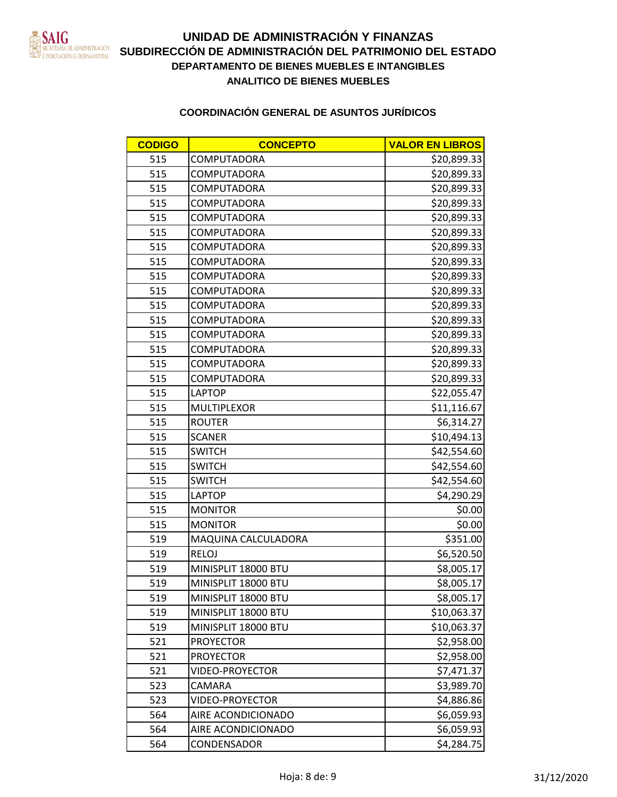

| <b>CODIGO</b> | <b>CONCEPTO</b>     | <b>VALOR EN LIBROS</b> |
|---------------|---------------------|------------------------|
| 515           | COMPUTADORA         | \$20,899.33            |
| 515           | COMPUTADORA         | \$20,899.33            |
| 515           | COMPUTADORA         | \$20,899.33            |
| 515           | COMPUTADORA         | \$20,899.33            |
| 515           | COMPUTADORA         | \$20,899.33            |
| 515           | COMPUTADORA         | \$20,899.33            |
| 515           | COMPUTADORA         | \$20,899.33            |
| 515           | <b>COMPUTADORA</b>  | \$20,899.33            |
| 515           | COMPUTADORA         | \$20,899.33            |
| 515           | COMPUTADORA         | \$20,899.33            |
| 515           | COMPUTADORA         | \$20,899.33            |
| 515           | COMPUTADORA         | \$20,899.33            |
| 515           | COMPUTADORA         | \$20,899.33            |
| 515           | <b>COMPUTADORA</b>  | \$20,899.33            |
| 515           | COMPUTADORA         | \$20,899.33            |
| 515           | COMPUTADORA         | \$20,899.33            |
| 515           | <b>LAPTOP</b>       | \$22,055.47            |
| 515           | MULTIPLEXOR         | \$11,116.67            |
| 515           | <b>ROUTER</b>       | \$6,314.27             |
| 515           | <b>SCANER</b>       | \$10,494.13            |
| 515           | <b>SWITCH</b>       | \$42,554.60            |
| 515           | <b>SWITCH</b>       | \$42,554.60            |
| 515           | <b>SWITCH</b>       | \$42,554.60            |
| 515           | <b>LAPTOP</b>       | \$4,290.29             |
| 515           | <b>MONITOR</b>      | \$0.00                 |
| 515           | <b>MONITOR</b>      | \$0.00                 |
| 519           | MAQUINA CALCULADORA | \$351.00               |
| 519           | <b>RELOJ</b>        | \$6,520.50             |
| 519           | MINISPLIT 18000 BTU | \$8,005.17             |
| 519           | MINISPLIT 18000 BTU | \$8,005.17             |
| 519           | MINISPLIT 18000 BTU | \$8,005.17             |
| 519           | MINISPLIT 18000 BTU | \$10,063.37            |
| 519           | MINISPLIT 18000 BTU | \$10,063.37            |
| 521           | <b>PROYECTOR</b>    | \$2,958.00             |
| 521           | <b>PROYECTOR</b>    | \$2,958.00             |
| 521           | VIDEO-PROYECTOR     | \$7,471.37             |
| 523           | CAMARA              | \$3,989.70             |
| 523           | VIDEO-PROYECTOR     | \$4,886.86             |
| 564           | AIRE ACONDICIONADO  | \$6,059.93             |
| 564           | AIRE ACONDICIONADO  | \$6,059.93             |
| 564           | CONDENSADOR         | \$4,284.75             |